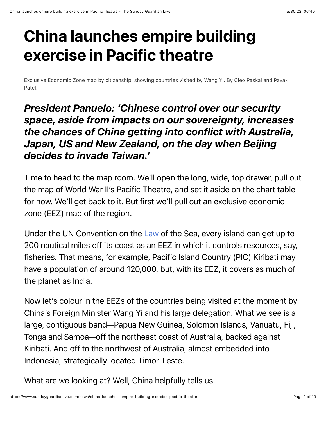# China launches empire building exercise in Pacific theatre

Exclusive Economic Zone map by citizenship, showing countries visited by Wang Yi. By Cleo Paskal and Pavak Patel.

*President Panuelo: 'Chinese control over our security space, aside from impacts on our sovereignty, increases the chances of China getting into conflict with Australia, Japan, US and New Zealand, on the day when Beijing decides to invade Taiwan.'*

Time to head to the map room. We'll open the long, wide, top drawer, pull out the map of World War II's Pacific Theatre, and set it aside on the chart table for now. We'll get back to it. But first we'll pull out an exclusive economic zone (EEZ) map of the region.

Under the UN Convention on the [Law](https://www.un.org/Depts/los/convention_agreements/texts/unclos/unclos_e.pdf) of the Sea, every island can get up to 200 nautical miles off its coast as an EEZ in which it controls resources, say, fisheries. That means, for example, Pacific Island Country (PIC) Kiribati may have a population of around 120,000, but, with its EEZ, it covers as much of the planet as India.

Now let's colour in the EEZs of the countries being visited at the moment by China's Foreign Minister Wang Yi and his large delegation. What we see is a large, contiguous band—Papua New Guinea, Solomon Islands, Vanuatu, Fiji, Tonga and Samoa—off the northeast coast of Australia, backed against Kiribati. And off to the northwest of Australia, almost embedded into Indonesia, strategically located Timor-Leste.

What are we looking at? Well, China helpfully tells us.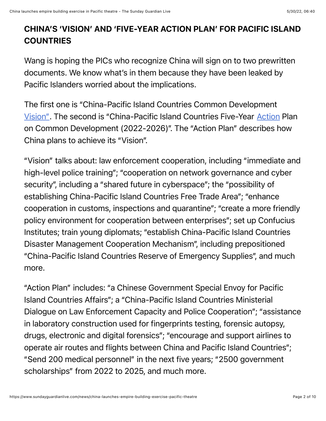## CHINA'S 'VISION' AND 'FIVE-YEAR ACTION PLAN' FOR PACIFIC ISLAND **COUNTRIES**

Wang is hoping the PICs who recognize China will sign on to two prewritten documents. We know what's in them because they have been leaked by Pacific Islanders worried about the implications.

The first one is "China-Pacific Island Countries Common Development [Vision"](https://twitter.com/CleoPaskal/status/1529867665992474626). The second is "China-Pacific Island Countries Five-Year [Action](https://twitter.com/CleoPaskal/status/1529849187071926273) Plan on Common Development (2022-2026)". The "Action Plan" describes how China plans to achieve its "Vision".

"Vision" talks about: law enforcement cooperation, including "immediate and high-level police training"; "cooperation on network governance and cyber security", including a "shared future in cyberspace"; the "possibility of establishing China-Pacific Island Countries Free Trade Area"; "enhance cooperation in customs, inspections and quarantine"; "create a more friendly policy environment for cooperation between enterprises"; set up Confucius Institutes; train young diplomats; "establish China-Pacific Island Countries Disaster Management Cooperation Mechanism", including prepositioned "China-Pacific Island Countries Reserve of Emergency Supplies", and much more.

"Action Plan" includes: "a Chinese Government Special Envoy for Pacific Island Countries Affairs"; a "China-Pacific Island Countries Ministerial Dialogue on Law Enforcement Capacity and Police Cooperation"; "assistance in laboratory construction used for fingerprints testing, forensic autopsy, drugs, electronic and digital forensics"; "encourage and support airlines to operate air routes and flights between China and Pacific Island Countries"; "Send 200 medical personnel" in the next five years; "2500 government scholarships" from 2022 to 2025, and much more.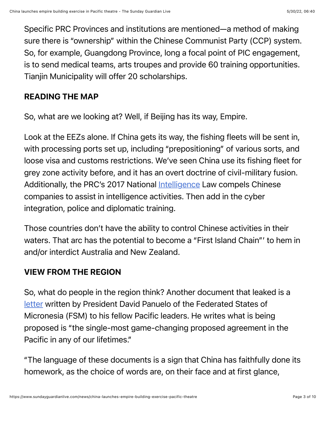Specific PRC Provinces and institutions are mentioned—a method of making sure there is "ownership" within the Chinese Communist Party (CCP) system. So, for example, Guangdong Province, long a focal point of PIC engagement, is to send medical teams, arts troupes and provide 60 training opportunities. Tianjin Municipality will offer 20 scholarships.

#### READING THE MAP

So, what are we looking at? Well, if Beijing has its way, Empire.

Look at the EEZs alone. If China gets its way, the fishing fleets will be sent in, with processing ports set up, including "prepositioning" of various sorts, and loose visa and customs restrictions. We've seen China use its fishing fleet for grey zone activity before, and it has an overt doctrine of civil-military fusion. Additionally, the PRC's 2017 National [Intelligence](https://cs.brown.edu/courses/csci1800/sources/2017_PRC_NationalIntelligenceLaw.pdf) Law compels Chinese companies to assist in intelligence activities. Then add in the cyber integration, police and diplomatic training.

Those countries don't have the ability to control Chinese activities in their waters. That arc has the potential to become a "First Island Chain"' to hem in and/or interdict Australia and New Zealand.

#### VIEW FROM THE REGION

So, what do people in the region think? Another document that leaked is a [letter](https://twitter.com/CleoPaskal/status/1530019148528492551) written by President David Panuelo of the Federated States of Micronesia (FSM) to his fellow Pacific leaders. He writes what is being proposed is "the single-most game-changing proposed agreement in the Pacific in any of our lifetimes."

"The language of these documents is a sign that China has faithfully done its homework, as the choice of words are, on their face and at first glance,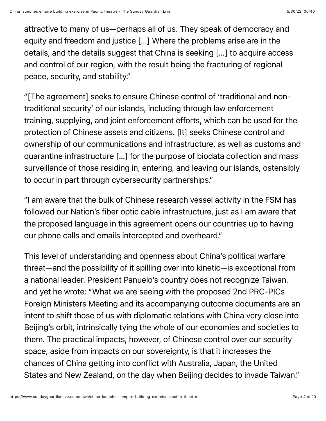attractive to many of us—perhaps all of us. They speak of democracy and equity and freedom and justice […] Where the problems arise are in the details, and the details suggest that China is seeking […] to acquire access and control of our region, with the result being the fracturing of regional peace, security, and stability."

"[The agreement] seeks to ensure Chinese control of 'traditional and nontraditional security' of our islands, including through law enforcement training, supplying, and joint enforcement efforts, which can be used for the protection of Chinese assets and citizens. [It] seeks Chinese control and ownership of our communications and infrastructure, as well as customs and quarantine infrastructure […] for the purpose of biodata collection and mass surveillance of those residing in, entering, and leaving our islands, ostensibly to occur in part through cybersecurity partnerships."

"I am aware that the bulk of Chinese research vessel activity in the FSM has followed our Nation's fiber optic cable infrastructure, just as I am aware that the proposed language in this agreement opens our countries up to having our phone calls and emails intercepted and overheard."

This level of understanding and openness about China's political warfare threat—and the possibility of it spilling over into kinetic—is exceptional from a national leader. President Panuelo's country does not recognize Taiwan, and yet he wrote: "What we are seeing with the proposed 2nd PRC-PICs Foreign Ministers Meeting and its accompanying outcome documents are an intent to shift those of us with diplomatic relations with China very close into Beijing's orbit, intrinsically tying the whole of our economies and societies to them. The practical impacts, however, of Chinese control over our security space, aside from impacts on our sovereignty, is that it increases the chances of China getting into conflict with Australia, Japan, the United States and New Zealand, on the day when Beijing decides to invade Taiwan."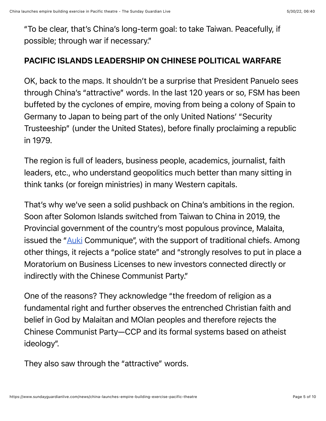"To be clear, that's China's long-term goal: to take Taiwan. Peacefully, if possible; through war if necessary."

#### PACIFIC ISLANDS LEADERSHIP ON CHINESE POLITICAL WARFARE

OK, back to the maps. It shouldn't be a surprise that President Panuelo sees through China's "attractive" words. In the last 120 years or so, FSM has been buffeted by the cyclones of empire, moving from being a colony of Spain to Germany to Japan to being part of the only United Nations' "Security Trusteeship" (under the United States), before finally proclaiming a republic in 1979.

The region is full of leaders, business people, academics, journalist, faith leaders, etc., who understand geopolitics much better than many sitting in think tanks (or foreign ministries) in many Western capitals.

That's why we've seen a solid pushback on China's ambitions in the region. Soon after Solomon Islands switched from Taiwan to China in 2019, the Provincial government of the country's most populous province, Malaita, issued the "[Auki](https://twitter.com/CleoPaskal/status/1516639799398043651) Communique", with the support of traditional chiefs. Among other things, it rejects a "police state" and "strongly resolves to put in place a Moratorium on Business Licenses to new investors connected directly or indirectly with the Chinese Communist Party."

One of the reasons? They acknowledge "the freedom of religion as a fundamental right and further observes the entrenched Christian faith and belief in God by Malaitan and MOIan peoples and therefore rejects the Chinese Communist Party—CCP and its formal systems based on atheist ideology".

They also saw through the "attractive" words.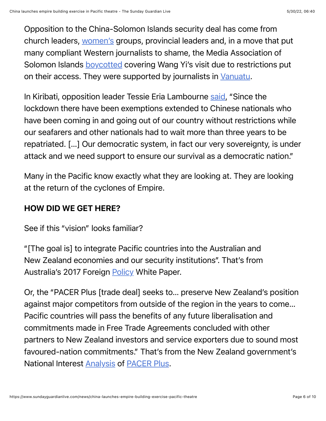Opposition to the China-Solomon Islands security deal has come from church leaders, [women's](https://theislandsun.com.sb/women-end-the-deal/) groups, provincial leaders and, in a move that put many compliant Western journalists to shame, the Media Association of Solomon Islands [boycotted](https://twitter.com/solsmasi/status/1530094624009646081?cxt=HHwWgsCjjYW9_rsqAAAA) covering Wang Yi's visit due to restrictions put on their access. They were supported by journalists in [Vanuatu.](https://theislandsun.com.sb/vanuatu-media-supports-masi-boycott-of-one-question-press-conference/)

In Kiribati, opposition leader Tessie Eria Lambourne [said](https://asiapacificreport.nz/2022/05/25/top-level-chinese-delegation-headed-to-kiribati-questions-over-kanton/), "Since the lockdown there have been exemptions extended to Chinese nationals who have been coming in and going out of our country without restrictions while our seafarers and other nationals had to wait more than three years to be repatriated. […] Our democratic system, in fact our very sovereignty, is under attack and we need support to ensure our survival as a democratic nation."

Many in the Pacific know exactly what they are looking at. They are looking at the return of the cyclones of Empire.

## HOW DID WE GET HERE?

See if this "vision" looks familiar?

"[The goal is] to integrate Pacific countries into the Australian and New Zealand economies and our security institutions". That's from Australia's 2017 Foreign [Policy](https://www.dfat.gov.au/publications/minisite/2017-foreign-policy-white-paper/fpwhitepaper/foreign-policy-white-paper/chapter-seven-shared-agenda-security-and-prosperity/bilateral-and.html) White Paper.

Or, the "PACER Plus [trade deal] seeks to… preserve New Zealand's position against major competitors from outside of the region in the years to come… Pacific countries will pass the benefits of any future liberalisation and commitments made in Free Trade Agreements concluded with other partners to New Zealand investors and service exporters due to sound most favoured-nation commitments." That's from the New Zealand government's National Interest [Analysis](https://www.parliament.nz/resource/en-NZ/ITE_74373/0fbb7163e309d06bffeab8d83a53618cf5b16a43) of [PACER Plus.](https://www.chathamhouse.org/2018/10/australia-and-new-zealand-must-rethink-their-approach-pacific-trade)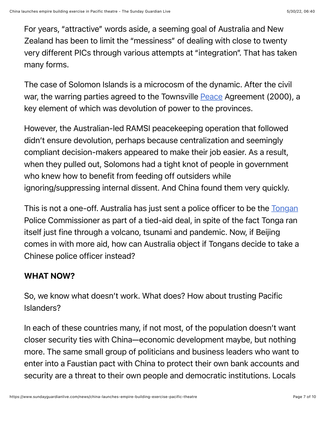For years, "attractive" words aside, a seeming goal of Australia and New Zealand has been to limit the "messiness" of dealing with close to twenty very different PICs through various attempts at "integration". That has taken many forms.

The case of Solomon Islands is a microcosm of the dynamic. After the civil war, the warring parties agreed to the Townsville [Peace](https://peacemaker.un.org/solomonislands-townsville-agreement2000) Agreement (2000), a key element of which was devolution of power to the provinces.

However, the Australian-led RAMSI peacekeeping operation that followed didn't ensure devolution, perhaps because centralization and seemingly compliant decision-makers appeared to make their job easier. As a result, when they pulled out, Solomons had a tight knot of people in government who knew how to benefit from feeding off outsiders while ignoring/suppressing internal dissent. And China found them very quickly.

This is not a one-off. Australia has just sent a police officer to be the [Tongan](https://matangitonga.to/2022/05/13/tonga-s-new-police-commissioner-arrives-australia) Police Commissioner as part of a tied-aid deal, in spite of the fact Tonga ran itself just fine through a volcano, tsunami and pandemic. Now, if Beijing comes in with more aid, how can Australia object if Tongans decide to take a Chinese police officer instead?

## WHAT NOW?

So, we know what doesn't work. What does? How about trusting Pacific Islanders?

In each of these countries many, if not most, of the population doesn't want closer security ties with China—economic development maybe, but nothing more. The same small group of politicians and business leaders who want to enter into a Faustian pact with China to protect their own bank accounts and security are a threat to their own people and democratic institutions. Locals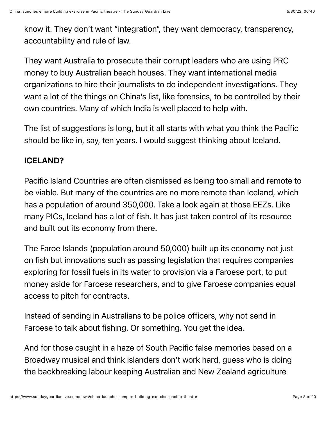know it. They don't want "integration", they want democracy, transparency, accountability and rule of law.

They want Australia to prosecute their corrupt leaders who are using PRC money to buy Australian beach houses. They want international media organizations to hire their journalists to do independent investigations. They want a lot of the things on China's list, like forensics, to be controlled by their own countries. Many of which India is well placed to help with.

The list of suggestions is long, but it all starts with what you think the Pacific should be like in, say, ten years. I would suggest thinking about Iceland.

#### ICELAND?

Pacific Island Countries are often dismissed as being too small and remote to be viable. But many of the countries are no more remote than Iceland, which has a population of around 350,000. Take a look again at those EEZs. Like many PICs, Iceland has a lot of fish. It has just taken control of its resource and built out its economy from there.

The Faroe Islands (population around 50,000) built up its economy not just on fish but innovations such as passing legislation that requires companies exploring for fossil fuels in its water to provision via a Faroese port, to put money aside for Faroese researchers, and to give Faroese companies equal access to pitch for contracts.

Instead of sending in Australians to be police officers, why not send in Faroese to talk about fishing. Or something. You get the idea.

And for those caught in a haze of South Pacific false memories based on a Broadway musical and think islanders don't work hard, guess who is doing the backbreaking labour keeping Australian and New Zealand agriculture